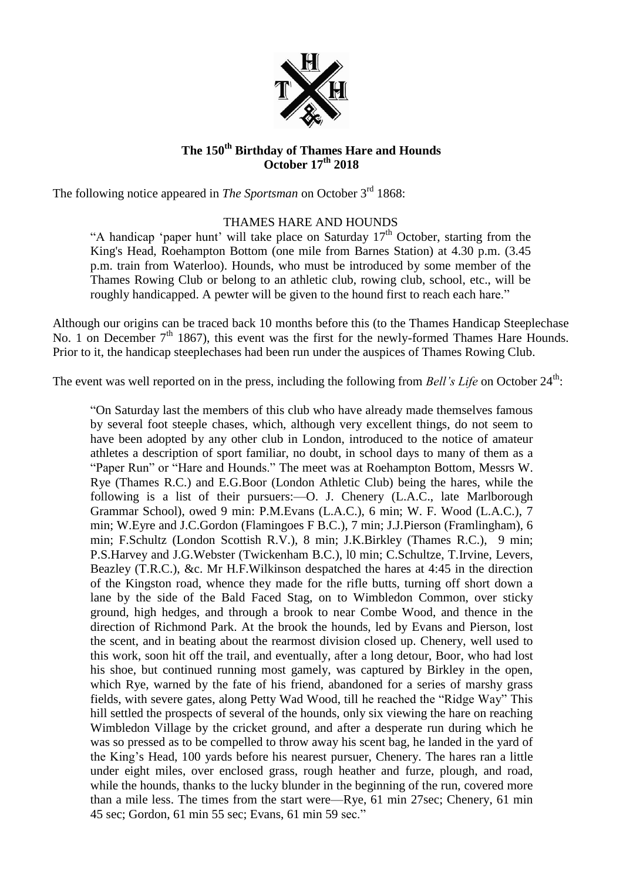

## **The 150th Birthday of Thames Hare and Hounds October 17th 2018**

The following notice appeared in *The Sportsman* on October 3<sup>rd</sup> 1868:

## THAMES HARE AND HOUNDS

"A handicap 'paper hunt' will take place on Saturday  $17<sup>th</sup>$  October, starting from the King's Head, Roehampton Bottom (one mile from Barnes Station) at 4.30 p.m. (3.45 p.m. train from Waterloo). Hounds, who must be introduced by some member of the Thames Rowing Club or belong to an athletic club, rowing club, school, etc., will be roughly handicapped. A pewter will be given to the hound first to reach each hare."

Although our origins can be traced back 10 months before this (to the Thames Handicap Steeplechase No. 1 on December  $7<sup>th</sup>$  1867), this event was the first for the newly-formed Thames Hare Hounds. Prior to it, the handicap steeplechases had been run under the auspices of Thames Rowing Club.

The event was well reported on in the press, including the following from *Bell's Life* on October 24<sup>th</sup>:

"On Saturday last the members of this club who have already made themselves famous by several foot steeple chases, which, although very excellent things, do not seem to have been adopted by any other club in London, introduced to the notice of amateur athletes a description of sport familiar, no doubt, in school days to many of them as a "Paper Run" or "Hare and Hounds." The meet was at Roehampton Bottom, Messrs W. Rye (Thames R.C.) and E.G.Boor (London Athletic Club) being the hares, while the following is a list of their pursuers:—O. J. Chenery (L.A.C., late Marlborough Grammar School), owed 9 min: P.M.Evans (L.A.C.), 6 min; W. F. Wood (L.A.C.), 7 min; W.Eyre and J.C.Gordon (Flamingoes F B.C.), 7 min; J.J.Pierson (Framlingham), 6 min; F.Schultz (London Scottish R.V.), 8 min; J.K.Birkley (Thames R.C.), 9 min; P.S.Harvey and J.G.Webster (Twickenham B.C.), l0 min; C.Schultze, T.Irvine, Levers, Beazley (T.R.C.), &c. Mr H.F.Wilkinson despatched the hares at 4:45 in the direction of the Kingston road, whence they made for the rifle butts, turning off short down a lane by the side of the Bald Faced Stag, on to Wimbledon Common, over sticky ground, high hedges, and through a brook to near Combe Wood, and thence in the direction of Richmond Park. At the brook the hounds, led by Evans and Pierson, lost the scent, and in beating about the rearmost division closed up. Chenery, well used to this work, soon hit off the trail, and eventually, after a long detour, Boor, who had lost his shoe, but continued running most gamely, was captured by Birkley in the open, which Rye, warned by the fate of his friend, abandoned for a series of marshy grass fields, with severe gates, along Petty Wad Wood, till he reached the "Ridge Way" This hill settled the prospects of several of the hounds, only six viewing the hare on reaching Wimbledon Village by the cricket ground, and after a desperate run during which he was so pressed as to be compelled to throw away his scent bag, he landed in the yard of the King's Head, 100 yards before his nearest pursuer, Chenery. The hares ran a little under eight miles, over enclosed grass, rough heather and furze, plough, and road, while the hounds, thanks to the lucky blunder in the beginning of the run, covered more than a mile less. The times from the start were—Rye, 61 min 27sec; Chenery, 61 min 45 sec; Gordon, 61 min 55 sec; Evans, 61 min 59 sec."